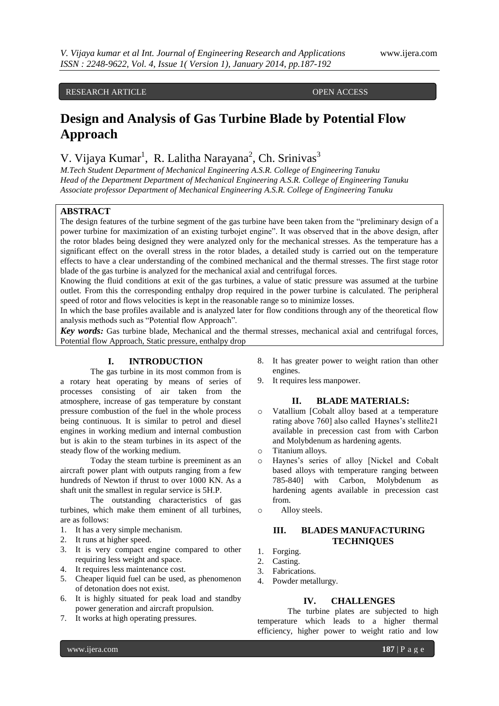# RESEARCH ARTICLE OPEN ACCESS

# **Design and Analysis of Gas Turbine Blade by Potential Flow Approach**

V. Vijaya Kumar<sup>1</sup>, R. Lalitha Narayana<sup>2</sup>, Ch. Srinivas<sup>3</sup>

*M.Tech Student Department of Mechanical Engineering A.S.R. College of Engineering Tanuku Head of the Department Department of Mechanical Engineering A.S.R. College of Engineering Tanuku Associate professor Department of Mechanical Engineering A.S.R. College of Engineering Tanuku*

# **ABSTRACT**

The design features of the turbine segment of the gas turbine have been taken from the "preliminary design of a power turbine for maximization of an existing turbojet engine". It was observed that in the above design, after the rotor blades being designed they were analyzed only for the mechanical stresses. As the temperature has a significant effect on the overall stress in the rotor blades, a detailed study is carried out on the temperature effects to have a clear understanding of the combined mechanical and the thermal stresses. The first stage rotor blade of the gas turbine is analyzed for the mechanical axial and centrifugal forces.

Knowing the fluid conditions at exit of the gas turbines, a value of static pressure was assumed at the turbine outlet. From this the corresponding enthalpy drop required in the power turbine is calculated. The peripheral speed of rotor and flows velocities is kept in the reasonable range so to minimize losses.

In which the base profiles available and is analyzed later for flow conditions through any of the theoretical flow analysis methods such as "Potential flow Approach".

*Key words:* Gas turbine blade, Mechanical and the thermal stresses, mechanical axial and centrifugal forces, Potential flow Approach, Static pressure, enthalpy drop

# **I. INTRODUCTION**

The gas turbine in its most common from is a rotary heat operating by means of series of processes consisting of air taken from the atmosphere, increase of gas temperature by constant pressure combustion of the fuel in the whole process being continuous. It is similar to petrol and diesel engines in working medium and internal combustion but is akin to the steam turbines in its aspect of the steady flow of the working medium.

Today the steam turbine is preeminent as an aircraft power plant with outputs ranging from a few hundreds of Newton if thrust to over 1000 KN. As a shaft unit the smallest in regular service is 5H.P.

The outstanding characteristics of gas turbines, which make them eminent of all turbines, are as follows:

- 1. It has a very simple mechanism.
- 2. It runs at higher speed.
- 3. It is very compact engine compared to other requiring less weight and space.
- 4. It requires less maintenance cost.
- 5. Cheaper liquid fuel can be used, as phenomenon of detonation does not exist.
- 6. It is highly situated for peak load and standby power generation and aircraft propulsion.
- 7. It works at high operating pressures.
- 8. It has greater power to weight ration than other engines.
- 9. It requires less manpower.

# **II. BLADE MATERIALS:**

- o Vatallium [Cobalt alloy based at a temperature rating above 760] also called Haynes's stellite21 available in precession cast from with Carbon and Molybdenum as hardening agents.
- o Titanium alloys.
- o Haynes's series of alloy [Nickel and Cobalt based alloys with temperature ranging between 785-840] with Carbon, Molybdenum as hardening agents available in precession cast from.
- o Alloy steels.

# **III. BLADES MANUFACTURING TECHNIQUES**

- 1. Forging.
- 2. Casting.
- 3. Fabrications.
- 4. Powder metallurgy.

#### **IV. CHALLENGES**

The turbine plates are subjected to high temperature which leads to a higher thermal efficiency, higher power to weight ratio and low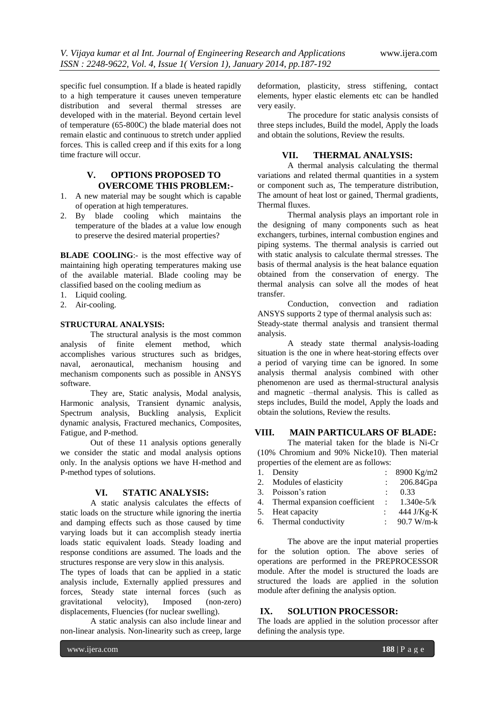specific fuel consumption. If a blade is heated rapidly to a high temperature it causes uneven temperature distribution and several thermal stresses are developed with in the material. Beyond certain level of temperature (65-800C) the blade material does not remain elastic and continuous to stretch under applied forces. This is called creep and if this exits for a long time fracture will occur.

# **V. OPTIONS PROPOSED TO OVERCOME THIS PROBLEM:-**

- 1. A new material may be sought which is capable of operation at high temperatures.
- 2. By blade cooling which maintains the temperature of the blades at a value low enough to preserve the desired material properties?

**BLADE COOLING:**- is the most effective way of maintaining high operating temperatures making use of the available material. Blade cooling may be classified based on the cooling medium as

- 1. Liquid cooling.
- 2. Air-cooling.

#### **STRUCTURAL ANALYSIS:**

The structural analysis is the most common analysis of finite element method, which accomplishes various structures such as bridges, naval, aeronautical, mechanism housing and mechanism components such as possible in ANSYS software.

They are, Static analysis, Modal analysis, Harmonic analysis, Transient dynamic analysis, Spectrum analysis, Buckling analysis, Explicit dynamic analysis, Fractured mechanics, Composites, Fatigue, and P-method.

Out of these 11 analysis options generally we consider the static and modal analysis options only. In the analysis options we have H-method and P-method types of solutions.

# **VI. STATIC ANALYSIS:**

A static analysis calculates the effects of static loads on the structure while ignoring the inertia and damping effects such as those caused by time varying loads but it can accomplish steady inertia loads static equivalent loads. Steady loading and response conditions are assumed. The loads and the structures response are very slow in this analysis.

The types of loads that can be applied in a static analysis include, Externally applied pressures and forces, Steady state internal forces (such as gravitational velocity), Imposed (non-zero) displacements, Fluencies (for nuclear swelling).

A static analysis can also include linear and non-linear analysis. Non-linearity such as creep, large

deformation, plasticity, stress stiffening, contact elements, hyper elastic elements etc can be handled very easily.

The procedure for static analysis consists of three steps includes, Build the model, Apply the loads and obtain the solutions, Review the results.

#### **VII. THERMAL ANALYSIS:**

A thermal analysis calculating the thermal variations and related thermal quantities in a system or component such as, The temperature distribution, The amount of heat lost or gained, Thermal gradients, Thermal fluxes.

Thermal analysis plays an important role in the designing of many components such as heat exchangers, turbines, internal combustion engines and piping systems. The thermal analysis is carried out with static analysis to calculate thermal stresses. The basis of thermal analysis is the heat balance equation obtained from the conservation of energy. The thermal analysis can solve all the modes of heat transfer.

Conduction, convection and radiation ANSYS supports 2 type of thermal analysis such as: Steady-state thermal analysis and transient thermal analysis.

A steady state thermal analysis-loading situation is the one in where heat-storing effects over a period of varying time can be ignored. In some analysis thermal analysis combined with other phenomenon are used as thermal-structural analysis and magnetic –thermal analysis. This is called as steps includes, Build the model, Apply the loads and obtain the solutions, Review the results.

# **VIII. MAIN PARTICULARS OF BLADE:**

The material taken for the blade is Ni-Cr (10% Chromium and 90% Nicke10). Then material properties of the element are as follows:

| 1. Density                       | : 8900 Kg/m2           |
|----------------------------------|------------------------|
| 2. Modules of elasticity         | 206.84Gpa              |
| 3. Poisson's ration              | 0.33                   |
| 4. Thermal expansion coefficient | $1.340e-5/k$           |
| 5. Heat capacity                 | 444 J/Kg-K             |
| 6. Thermal conductivity          | : $90.7 \text{ W/m-k}$ |
|                                  |                        |

The above are the input material properties for the solution option. The above series of operations are performed in the PREPROCESSOR module. After the model is structured the loads are structured the loads are applied in the solution module after defining the analysis option.

# **IX. SOLUTION PROCESSOR:**

The loads are applied in the solution processor after defining the analysis type.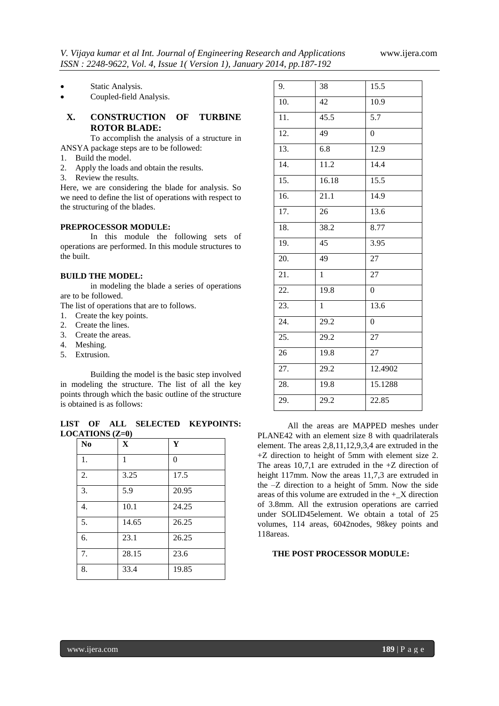Static Analysis.

Coupled-field Analysis.

# **X. CONSTRUCTION OF TURBINE ROTOR BLADE:**

To accomplish the analysis of a structure in ANSYA package steps are to be followed:

- 1. Build the model.
- 2. Apply the loads and obtain the results.
- 3. Review the results.

Here, we are considering the blade for analysis. So we need to define the list of operations with respect to the structuring of the blades.

# **PREPROCESSOR MODULE:**

In this module the following sets of operations are performed. In this module structures to the built.

# **BUILD THE MODEL:**

in modeling the blade a series of operations are to be followed.

The list of operations that are to follows.

- 1. Create the key points.
- 2. Create the lines.
- 3. Create the areas.
- 4. Meshing.
- 5. Extrusion.

Building the model is the basic step involved in modeling the structure. The list of all the key points through which the basic outline of the structure is obtained is as follows:

**LIST OF ALL SELECTED KEYPOINTS: LOCATIONS (Z=0)**

| N <sub>0</sub> | $\mathbf X$ | Y        |
|----------------|-------------|----------|
| 1.             | 1           | $\theta$ |
| 2.             | 3.25        | 17.5     |
| 3.             | 5.9         | 20.95    |
| 4.             | 10.1        | 24.25    |
| 5.             | 14.65       | 26.25    |
| 6.             | 23.1        | 26.25    |
| 7.             | 28.15       | 23.6     |
| 8.             | 33.4        | 19.85    |

| 9.                | 38                | 15.5              |
|-------------------|-------------------|-------------------|
| 10.               | 42                | 10.9              |
| $\overline{11}$ . | 45.5              | 5.7               |
| $\overline{12}$ . | 49                | $\overline{0}$    |
| $\overline{13}$ . | 6.8               | 12.9              |
| 14.               | 11.2              | 14.4              |
| $\overline{15}$ . | 16.18             | 15.5              |
| $\overline{16}$ . | 21.1              | 14.9              |
| 17.               | 26                | $\overline{13.6}$ |
| 18.               | 38.2              | 8.77              |
| 19.               | 45                | 3.95              |
| 20.               | 49                | $\overline{27}$   |
| 21.               | $\mathbf{1}$      | 27                |
| 22.               | 19.8              | $\overline{0}$    |
| $\overline{23}$ . | $\mathbf{1}$      | 13.6              |
| 24.               | $\overline{29.2}$ | $\overline{0}$    |
| 25.               | 29.2              | 27                |
| 26                | 19.8              | $\overline{27}$   |
| 27.               | 29.2              | 12.4902           |
| 28.               | 19.8              | 15.1288           |
| 29.               | 29.2              | 22.85             |
|                   |                   |                   |

All the areas are MAPPED meshes under PLANE42 with an element size 8 with quadrilaterals element. The areas 2,8,11,12,9,3,4 are extruded in the +Z direction to height of 5mm with element size 2. The areas 10,7,1 are extruded in the  $+Z$  direction of height 117mm. Now the areas 11,7,3 are extruded in the –Z direction to a height of 5mm. Now the side areas of this volume are extruded in the  $+$  X direction of 3.8mm. All the extrusion operations are carried under SOLID45element. We obtain a total of 25 volumes, 114 areas, 6042nodes, 98key points and 118areas.

# **THE POST PROCESSOR MODULE:**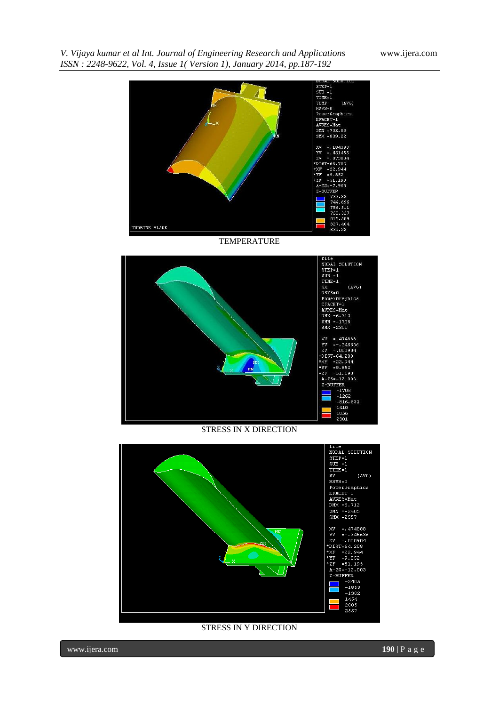# *ISSN : 2248-9622, Vol. 4, Issue 1( Version 1), January 2014, pp.187-192*



*V. Vijaya kumar et al Int. Journal of Engineering Research and Applications* www.ijera.com

TEMPERATURE



STRESS IN X DIRECTION



STRESS IN Y DIRECTION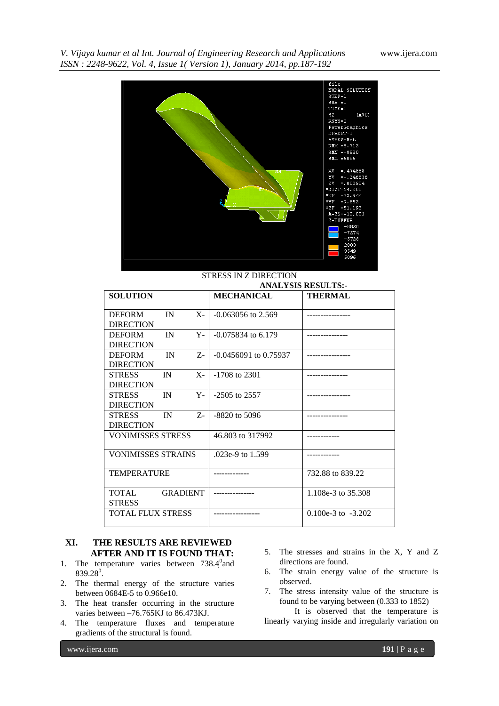*V. Vijaya kumar et al Int. Journal of Engineering Research and Applications* www.ijera.com *ISSN : 2248-9622, Vol. 4, Issue 1( Version 1), January 2014, pp.187-192*



#### STRESS IN Z DIRECTION

|                                                       | <b>ANALYSIS RESULTS:-</b> |                        |  |
|-------------------------------------------------------|---------------------------|------------------------|--|
| <b>SOLUTION</b>                                       | <b>MECHANICAL</b>         | <b>THERMAL</b>         |  |
| <b>DEFORM</b><br>IN<br>$X-$<br><b>DIRECTION</b>       | $-0.063056$ to 2.569      |                        |  |
| <b>DEFORM</b><br>IN<br>$Y -$<br><b>DIRECTION</b>      | $-0.075834$ to 6.179      |                        |  |
| <b>DEFORM</b><br>IN<br>$Z_{\tau}$<br><b>DIRECTION</b> | $-0.0456091$ to 0.75937   |                        |  |
| <b>STRESS</b><br>IN<br>$X-$<br><b>DIRECTION</b>       | $-1708$ to 2301           |                        |  |
| <b>STRESS</b><br>IN<br>Y-<br><b>DIRECTION</b>         | $-2505$ to 2557           |                        |  |
| <b>STRESS</b><br>IN<br>$Z$ -<br><b>DIRECTION</b>      | $-8820$ to 5096           |                        |  |
| <b>VONIMISSES STRESS</b>                              | 46.803 to 317992          |                        |  |
| <b>VONIMISSES STRAINS</b>                             | .023e-9 to 1.599          |                        |  |
| <b>TEMPERATURE</b>                                    |                           | 732.88 to 839.22       |  |
| TOTAL.<br><b>GRADIENT</b><br><b>STRESS</b>            |                           | 1.108e-3 to 35.308     |  |
| <b>TOTAL FLUX STRESS</b>                              |                           | $0.100e-3$ to $-3.202$ |  |

# **XI. THE RESULTS ARE REVIEWED AFTER AND IT IS FOUND THAT:**

- 1. The temperature varies between  $738.4^{\circ}$  and  $839.28^0$ .
- 2. The thermal energy of the structure varies between 0684E-5 to 0.966e10.
- 3. The heat transfer occurring in the structure varies between –76.765KJ to 86.473KJ.
- 4. The temperature fluxes and temperature gradients of the structural is found.
- 5. The stresses and strains in the X, Y and Z directions are found.
- 6. The strain energy value of the structure is observed.
- 7. The stress intensity value of the structure is found to be varying between (0.333 to 1852)

It is observed that the temperature is linearly varying inside and irregularly variation on